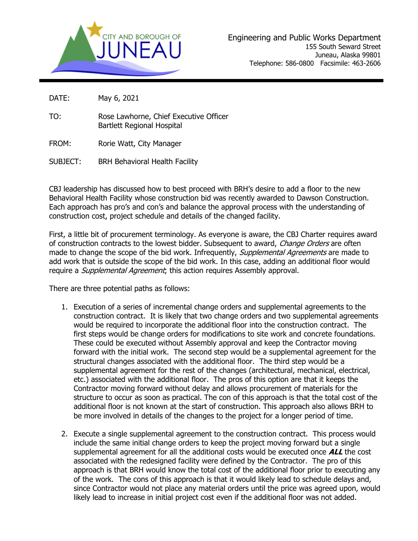

DATE: May 6, 2021

- TO: Rose Lawhorne, Chief Executive Officer Bartlett Regional Hospital
- FROM: Rorie Watt, City Manager
- SUBJECT: BRH Behavioral Health Facility

CBJ leadership has discussed how to best proceed with BRH's desire to add a floor to the new Behavioral Health Facility whose construction bid was recently awarded to Dawson Construction. Each approach has pro's and con's and balance the approval process with the understanding of construction cost, project schedule and details of the changed facility.

First, a little bit of procurement terminology. As everyone is aware, the CBJ Charter requires award of construction contracts to the lowest bidder. Subsequent to award, Change Orders are often made to change the scope of the bid work. Infrequently, Supplemental Agreements are made to add work that is outside the scope of the bid work. In this case, adding an additional floor would require a *Supplemental Agreement*; this action requires Assembly approval.

There are three potential paths as follows:

- 1. Execution of a series of incremental change orders and supplemental agreements to the construction contract. It is likely that two change orders and two supplemental agreements would be required to incorporate the additional floor into the construction contract. The first steps would be change orders for modifications to site work and concrete foundations. These could be executed without Assembly approval and keep the Contractor moving forward with the initial work. The second step would be a supplemental agreement for the structural changes associated with the additional floor. The third step would be a supplemental agreement for the rest of the changes (architectural, mechanical, electrical, etc.) associated with the additional floor. The pros of this option are that it keeps the Contractor moving forward without delay and allows procurement of materials for the structure to occur as soon as practical. The con of this approach is that the total cost of the additional floor is not known at the start of construction. This approach also allows BRH to be more involved in details of the changes to the project for a longer period of time.
- 2. Execute a single supplemental agreement to the construction contract. This process would include the same initial change orders to keep the project moving forward but a single supplemental agreement for all the additional costs would be executed once **ALL** the cost associated with the redesigned facility were defined by the Contractor. The pro of this approach is that BRH would know the total cost of the additional floor prior to executing any of the work. The cons of this approach is that it would likely lead to schedule delays and, since Contractor would not place any material orders until the price was agreed upon, would likely lead to increase in initial project cost even if the additional floor was not added.